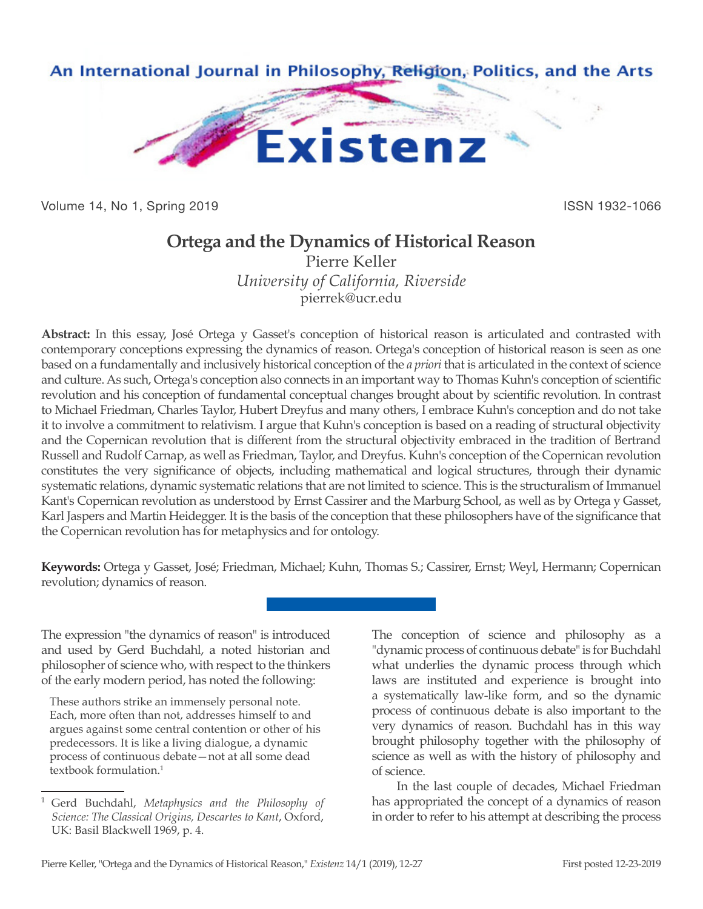

Volume 14, No 1, Spring 2019 **ISSN 1932-1066** 

## **Ortega and the Dynamics of Historical Reason**

Pierre Keller *University of California, Riverside* pierrek@ucr.edu

**Abstract:** In this essay, José Ortega y Gasset's conception of historical reason is articulated and contrasted with contemporary conceptions expressing the dynamics of reason. Ortega's conception of historical reason is seen as one based on a fundamentally and inclusively historical conception of the *a priori* that is articulated in the context of science and culture. As such, Ortega's conception also connects in an important way to Thomas Kuhn's conception of scientific revolution and his conception of fundamental conceptual changes brought about by scientific revolution. In contrast to Michael Friedman, Charles Taylor, Hubert Dreyfus and many others, I embrace Kuhn's conception and do not take it to involve a commitment to relativism. I argue that Kuhn's conception is based on a reading of structural objectivity and the Copernican revolution that is different from the structural objectivity embraced in the tradition of Bertrand Russell and Rudolf Carnap, as well as Friedman, Taylor, and Dreyfus. Kuhn's conception of the Copernican revolution constitutes the very significance of objects, including mathematical and logical structures, through their dynamic systematic relations, dynamic systematic relations that are not limited to science. This is the structuralism of Immanuel Kant's Copernican revolution as understood by Ernst Cassirer and the Marburg School, as well as by Ortega y Gasset, Karl Jaspers and Martin Heidegger. It is the basis of the conception that these philosophers have of the significance that the Copernican revolution has for metaphysics and for ontology.

**Keywords:** Ortega y Gasset, José; Friedman, Michael; Kuhn, Thomas S.; Cassirer, Ernst; Weyl, Hermann; Copernican revolution; dynamics of reason.

The expression "the dynamics of reason" is introduced and used by Gerd Buchdahl, a noted historian and philosopher of science who, with respect to the thinkers of the early modern period, has noted the following:

These authors strike an immensely personal note. Each, more often than not, addresses himself to and argues against some central contention or other of his predecessors. It is like a living dialogue, a dynamic process of continuous debate—not at all some dead textbook formulation.<sup>1</sup>

The conception of science and philosophy as a "dynamic process of continuous debate" is for Buchdahl what underlies the dynamic process through which laws are instituted and experience is brought into a systematically law-like form, and so the dynamic process of continuous debate is also important to the very dynamics of reason. Buchdahl has in this way brought philosophy together with the philosophy of science as well as with the history of philosophy and of science.

In the last couple of decades, Michael Friedman has appropriated the concept of a dynamics of reason in order to refer to his attempt at describing the process

<sup>1</sup> Gerd Buchdahl, *Metaphysics and the Philosophy of Science: The Classical Origins, Descartes to Kant*, Oxford, UK: Basil Blackwell 1969, p. 4.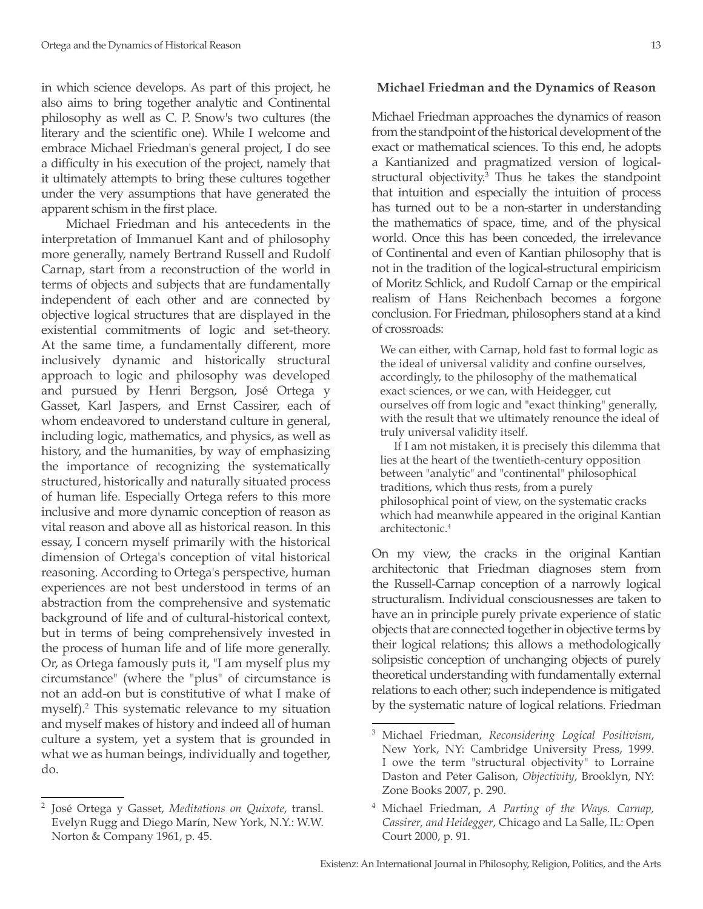in which science develops. As part of this project, he also aims to bring together analytic and Continental philosophy as well as C. P. Snow's two cultures (the literary and the scientific one). While I welcome and embrace Michael Friedman's general project, I do see a difficulty in his execution of the project, namely that it ultimately attempts to bring these cultures together under the very assumptions that have generated the apparent schism in the first place.

Michael Friedman and his antecedents in the interpretation of Immanuel Kant and of philosophy more generally, namely Bertrand Russell and Rudolf Carnap, start from a reconstruction of the world in terms of objects and subjects that are fundamentally independent of each other and are connected by objective logical structures that are displayed in the existential commitments of logic and set-theory. At the same time, a fundamentally different, more inclusively dynamic and historically structural approach to logic and philosophy was developed and pursued by Henri Bergson, José Ortega y Gasset, Karl Jaspers, and Ernst Cassirer, each of whom endeavored to understand culture in general, including logic, mathematics, and physics, as well as history, and the humanities, by way of emphasizing the importance of recognizing the systematically structured, historically and naturally situated process of human life. Especially Ortega refers to this more inclusive and more dynamic conception of reason as vital reason and above all as historical reason. In this essay, I concern myself primarily with the historical dimension of Ortega's conception of vital historical reasoning. According to Ortega's perspective, human experiences are not best understood in terms of an abstraction from the comprehensive and systematic background of life and of cultural-historical context, but in terms of being comprehensively invested in the process of human life and of life more generally. Or, as Ortega famously puts it, "I am myself plus my circumstance" (where the "plus" of circumstance is not an add-on but is constitutive of what I make of myself).<sup>2</sup> This systematic relevance to my situation and myself makes of history and indeed all of human culture a system, yet a system that is grounded in what we as human beings, individually and together, do.

## **Michael Friedman and the Dynamics of Reason**

Michael Friedman approaches the dynamics of reason from the standpoint of the historical development of the exact or mathematical sciences. To this end, he adopts a Kantianized and pragmatized version of logicalstructural objectivity.3 Thus he takes the standpoint that intuition and especially the intuition of process has turned out to be a non-starter in understanding the mathematics of space, time, and of the physical world. Once this has been conceded, the irrelevance of Continental and even of Kantian philosophy that is not in the tradition of the logical-structural empiricism of Moritz Schlick, and Rudolf Carnap or the empirical realism of Hans Reichenbach becomes a forgone conclusion. For Friedman, philosophers stand at a kind of crossroads:

We can either, with Carnap, hold fast to formal logic as the ideal of universal validity and confine ourselves, accordingly, to the philosophy of the mathematical exact sciences, or we can, with Heidegger, cut ourselves off from logic and "exact thinking" generally, with the result that we ultimately renounce the ideal of truly universal validity itself.

If I am not mistaken, it is precisely this dilemma that lies at the heart of the twentieth-century opposition between "analytic" and "continental" philosophical traditions, which thus rests, from a purely philosophical point of view, on the systematic cracks which had meanwhile appeared in the original Kantian architectonic.4

On my view, the cracks in the original Kantian architectonic that Friedman diagnoses stem from the Russell-Carnap conception of a narrowly logical structuralism. Individual consciousnesses are taken to have an in principle purely private experience of static objects that are connected together in objective terms by their logical relations; this allows a methodologically solipsistic conception of unchanging objects of purely theoretical understanding with fundamentally external relations to each other; such independence is mitigated by the systematic nature of logical relations. Friedman

<sup>2</sup> José Ortega y Gasset, *Meditations on Quixote*, transl. Evelyn Rugg and Diego Marín, New York, N.Y.: W.W. Norton & Company 1961, p. 45.

<sup>3</sup> Michael Friedman, *Reconsidering Logical Positivism*, New York, NY: Cambridge University Press, 1999. I owe the term "structural objectivity" to Lorraine Daston and Peter Galison, *Objectivity*, Brooklyn, NY: Zone Books 2007, p. 290.

<sup>4</sup> Michael Friedman, *A Parting of the Ways. Carnap, Cassirer, and Heidegger*, Chicago and La Salle, IL: Open Court 2000, p. 91.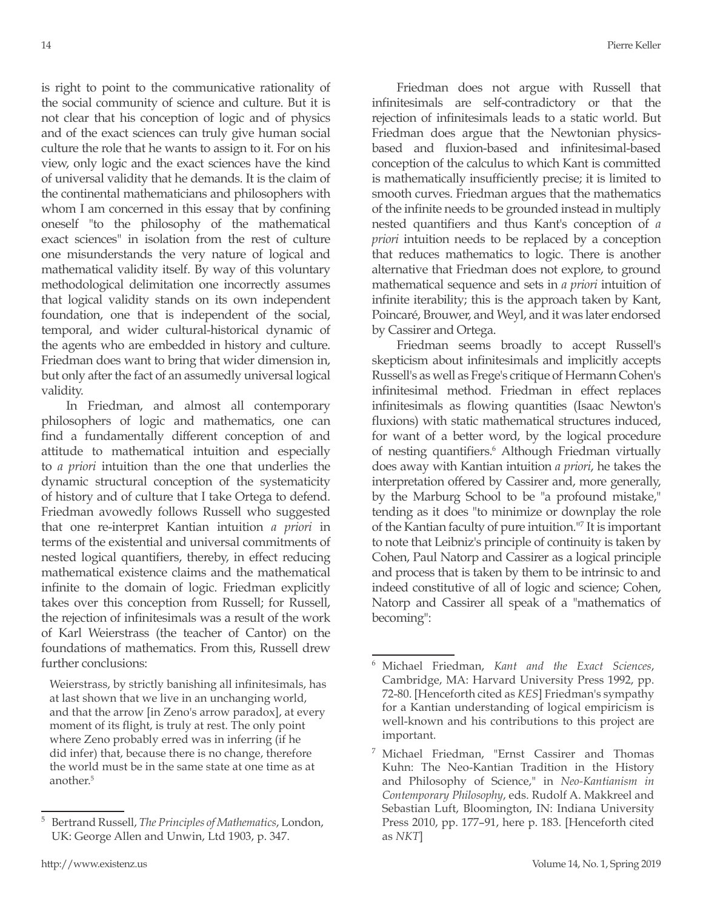is right to point to the communicative rationality of the social community of science and culture. But it is not clear that his conception of logic and of physics and of the exact sciences can truly give human social culture the role that he wants to assign to it. For on his view, only logic and the exact sciences have the kind of universal validity that he demands. It is the claim of the continental mathematicians and philosophers with whom I am concerned in this essay that by confining oneself "to the philosophy of the mathematical exact sciences" in isolation from the rest of culture one misunderstands the very nature of logical and mathematical validity itself. By way of this voluntary methodological delimitation one incorrectly assumes that logical validity stands on its own independent foundation, one that is independent of the social, temporal, and wider cultural-historical dynamic of the agents who are embedded in history and culture. Friedman does want to bring that wider dimension in, but only after the fact of an assumedly universal logical validity.

In Friedman, and almost all contemporary philosophers of logic and mathematics, one can find a fundamentally different conception of and attitude to mathematical intuition and especially to *a priori* intuition than the one that underlies the dynamic structural conception of the systematicity of history and of culture that I take Ortega to defend. Friedman avowedly follows Russell who suggested that one re-interpret Kantian intuition *a priori* in terms of the existential and universal commitments of nested logical quantifiers, thereby, in effect reducing mathematical existence claims and the mathematical infinite to the domain of logic. Friedman explicitly takes over this conception from Russell; for Russell, the rejection of infinitesimals was a result of the work of Karl Weierstrass (the teacher of Cantor) on the foundations of mathematics. From this, Russell drew further conclusions:

Weierstrass, by strictly banishing all infinitesimals, has at last shown that we live in an unchanging world, and that the arrow [in Zeno's arrow paradox], at every moment of its flight, is truly at rest. The only point where Zeno probably erred was in inferring (if he did infer) that, because there is no change, therefore the world must be in the same state at one time as at another<sup>5</sup>

Friedman does not argue with Russell that infinitesimals are self-contradictory or that the rejection of infinitesimals leads to a static world. But Friedman does argue that the Newtonian physicsbased and fluxion-based and infinitesimal-based conception of the calculus to which Kant is committed is mathematically insufficiently precise; it is limited to smooth curves. Friedman argues that the mathematics of the infinite needs to be grounded instead in multiply nested quantifiers and thus Kant's conception of *a priori* intuition needs to be replaced by a conception that reduces mathematics to logic. There is another alternative that Friedman does not explore, to ground mathematical sequence and sets in *a priori* intuition of infinite iterability; this is the approach taken by Kant, Poincaré, Brouwer, and Weyl, and it was later endorsed by Cassirer and Ortega.

Friedman seems broadly to accept Russell's skepticism about infinitesimals and implicitly accepts Russell's as well as Frege's critique of Hermann Cohen's infinitesimal method. Friedman in effect replaces infinitesimals as flowing quantities (Isaac Newton's fluxions) with static mathematical structures induced, for want of a better word, by the logical procedure of nesting quantifiers.<sup>6</sup> Although Friedman virtually does away with Kantian intuition *a priori*, he takes the interpretation offered by Cassirer and, more generally, by the Marburg School to be "a profound mistake," tending as it does "to minimize or downplay the role of the Kantian faculty of pure intuition."7 It is important to note that Leibniz's principle of continuity is taken by Cohen, Paul Natorp and Cassirer as a logical principle and process that is taken by them to be intrinsic to and indeed constitutive of all of logic and science; Cohen, Natorp and Cassirer all speak of a "mathematics of becoming":

<sup>5</sup> Bertrand Russell, *The Principles of Mathematics*, London, UK: George Allen and Unwin, Ltd 1903, p. 347.

<sup>6</sup> Michael Friedman, *Kant and the Exact Sciences*, Cambridge, MA: Harvard University Press 1992, pp. 72-80. [Henceforth cited as *KES*] Friedman's sympathy for a Kantian understanding of logical empiricism is well-known and his contributions to this project are important.

<sup>7</sup> Michael Friedman, "Ernst Cassirer and Thomas Kuhn: The Neo-Kantian Tradition in the History and Philosophy of Science," in *Neo-Kantianism in Contemporary Philosophy*, eds. Rudolf A. Makkreel and Sebastian Luft, Bloomington, IN: Indiana University Press 2010, pp. 177–91, here p. 183. [Henceforth cited as *NKT*]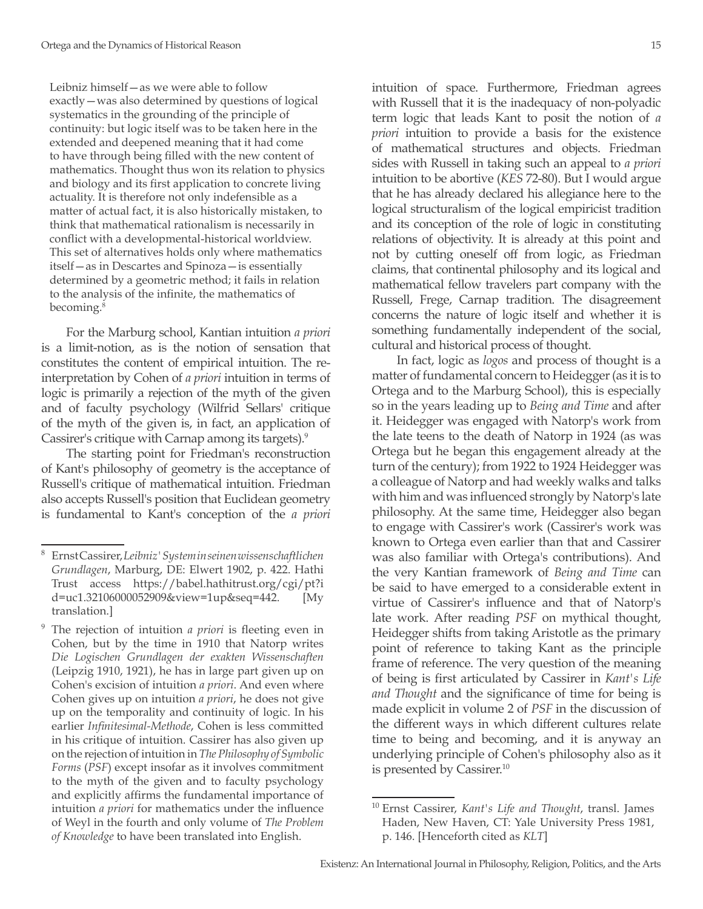Leibniz himself—as we were able to follow exactly—was also determined by questions of logical systematics in the grounding of the principle of continuity: but logic itself was to be taken here in the extended and deepened meaning that it had come to have through being filled with the new content of mathematics. Thought thus won its relation to physics and biology and its first application to concrete living actuality. It is therefore not only indefensible as a matter of actual fact, it is also historically mistaken, to think that mathematical rationalism is necessarily in conflict with a developmental-historical worldview. This set of alternatives holds only where mathematics itself—as in Descartes and Spinoza—is essentially determined by a geometric method; it fails in relation to the analysis of the infinite, the mathematics of becoming.<sup>8</sup>

For the Marburg school, Kantian intuition *a priori*  is a limit-notion, as is the notion of sensation that constitutes the content of empirical intuition. The reinterpretation by Cohen of *a priori* intuition in terms of logic is primarily a rejection of the myth of the given and of faculty psychology (Wilfrid Sellars' critique of the myth of the given is, in fact, an application of Cassirer's critique with Carnap among its targets).<sup>9</sup>

The starting point for Friedman's reconstruction of Kant's philosophy of geometry is the acceptance of Russell's critique of mathematical intuition. Friedman also accepts Russell's position that Euclidean geometry is fundamental to Kant's conception of the *a priori*  intuition of space. Furthermore, Friedman agrees with Russell that it is the inadequacy of non-polyadic term logic that leads Kant to posit the notion of *a priori* intuition to provide a basis for the existence of mathematical structures and objects. Friedman sides with Russell in taking such an appeal to *a priori* intuition to be abortive (*KES* 72-80). But I would argue that he has already declared his allegiance here to the logical structuralism of the logical empiricist tradition and its conception of the role of logic in constituting relations of objectivity. It is already at this point and not by cutting oneself off from logic, as Friedman claims, that continental philosophy and its logical and mathematical fellow travelers part company with the Russell, Frege, Carnap tradition. The disagreement concerns the nature of logic itself and whether it is something fundamentally independent of the social, cultural and historical process of thought.

In fact, logic as *logos* and process of thought is a matter of fundamental concern to Heidegger (as it is to Ortega and to the Marburg School), this is especially so in the years leading up to *Being and Time* and after it. Heidegger was engaged with Natorp's work from the late teens to the death of Natorp in 1924 (as was Ortega but he began this engagement already at the turn of the century); from 1922 to 1924 Heidegger was a colleague of Natorp and had weekly walks and talks with him and was influenced strongly by Natorp's late philosophy. At the same time, Heidegger also began to engage with Cassirer's work (Cassirer's work was known to Ortega even earlier than that and Cassirer was also familiar with Ortega's contributions). And the very Kantian framework of *Being and Time* can be said to have emerged to a considerable extent in virtue of Cassirer's influence and that of Natorp's late work. After reading *PSF* on mythical thought, Heidegger shifts from taking Aristotle as the primary point of reference to taking Kant as the principle frame of reference. The very question of the meaning of being is first articulated by Cassirer in *Kant's Life and Thought* and the significance of time for being is made explicit in volume 2 of *PSF* in the discussion of the different ways in which different cultures relate time to being and becoming, and it is anyway an underlying principle of Cohen's philosophy also as it is presented by Cassirer.<sup>10</sup>

<sup>8</sup> Ernst Cassirer, *Leibniz' System in seinen wissenschaftlichen Grundlagen*, Marburg, DE: Elwert 1902, p. 422. Hathi Trust access https://babel.hathitrust.org/cgi/pt?i d=uc1.32106000052909&view=1up&seq=442. [My translation.]

<sup>9</sup> The rejection of intuition *a priori* is fleeting even in Cohen, but by the time in 1910 that Natorp writes *Die Logischen Grundlagen der exakten Wissenschaften* (Leipzig 1910, 1921), he has in large part given up on Cohen's excision of intuition *a priori*. And even where Cohen gives up on intuition *a priori*, he does not give up on the temporality and continuity of logic. In his earlier *Infinitesimal-Methode*, Cohen is less committed in his critique of intuition. Cassirer has also given up on the rejection of intuition in *The Philosophy of Symbolic Forms* (*PSF*) except insofar as it involves commitment to the myth of the given and to faculty psychology and explicitly affirms the fundamental importance of intuition *a priori* for mathematics under the influence of Weyl in the fourth and only volume of *The Problem of Knowledge* to have been translated into English.

<sup>10</sup> Ernst Cassirer, *Kant's Life and Thought*, transl. James Haden, New Haven, CT: Yale University Press 1981, p. 146. [Henceforth cited as *KLT*]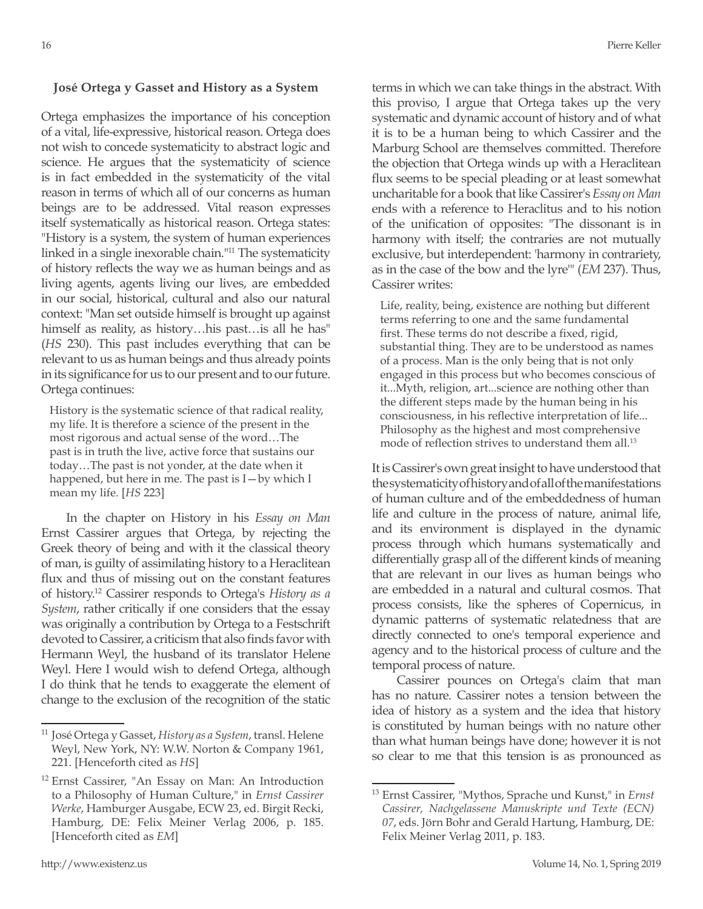## **José Ortega y Gasset and History as a System**

Ortega emphasizes the importance of his conception of a vital, life-expressive, historical reason. Ortega does not wish to concede systematicity to abstract logic and science. He argues that the systematicity of science is in fact embedded in the systematicity of the vital reason in terms of which all of our concerns as human beings are to be addressed. Vital reason expresses itself systematically as historical reason. Ortega states: "History is a system, the system of human experiences linked in a single inexorable chain."11 The systematicity of history reflects the way we as human beings and as living agents, agents living our lives, are embedded in our social, historical, cultural and also our natural context: "Man set outside himself is brought up against himself as reality, as history...his past...is all he has" (*HS* 230). This past includes everything that can be relevant to us as human beings and thus already points in its significance for us to our present and to our future. Ortega continues:

History is the systematic science of that radical reality, my life. It is therefore a science of the present in the most rigorous and actual sense of the word…The past is in truth the live, active force that sustains our today…The past is not yonder, at the date when it happened, but here in me. The past is I—by which I mean my life. [*HS* 223]

In the chapter on History in his *Essay on Man*  Ernst Cassirer argues that Ortega, by rejecting the Greek theory of being and with it the classical theory of man, is guilty of assimilating history to a Heraclitean flux and thus of missing out on the constant features of history.12 Cassirer responds to Ortega's *History as a System*, rather critically if one considers that the essay was originally a contribution by Ortega to a Festschrift devoted to Cassirer, a criticism that also finds favor with Hermann Weyl, the husband of its translator Helene Weyl. Here I would wish to defend Ortega, although I do think that he tends to exaggerate the element of change to the exclusion of the recognition of the static terms in which we can take things in the abstract. With this proviso, I argue that Ortega takes up the very systematic and dynamic account of history and of what it is to be a human being to which Cassirer and the Marburg School are themselves committed. Therefore the objection that Ortega winds up with a Heraclitean flux seems to be special pleading or at least somewhat uncharitable for a book that like Cassirer's *Essay on Man* ends with a reference to Heraclitus and to his notion of the unification of opposites: "The dissonant is in harmony with itself; the contraries are not mutually exclusive, but interdependent: 'harmony in contrariety, as in the case of the bow and the lyre'" (*EM* 237). Thus, Cassirer writes:

Life, reality, being, existence are nothing but different terms referring to one and the same fundamental first. These terms do not describe a fixed, rigid, substantial thing. They are to be understood as names of a process. Man is the only being that is not only engaged in this process but who becomes conscious of it...Myth, religion, art...science are nothing other than the different steps made by the human being in his consciousness, in his reflective interpretation of life... Philosophy as the highest and most comprehensive mode of reflection strives to understand them all.<sup>13</sup>

It is Cassirer's own great insight to have understood that the systematicity of history and of all of the manifestations of human culture and of the embeddedness of human life and culture in the process of nature, animal life, and its environment is displayed in the dynamic process through which humans systematically and differentially grasp all of the different kinds of meaning that are relevant in our lives as human beings who are embedded in a natural and cultural cosmos. That process consists, like the spheres of Copernicus, in dynamic patterns of systematic relatedness that are directly connected to one's temporal experience and agency and to the historical process of culture and the temporal process of nature.

Cassirer pounces on Ortega's claim that man has no nature. Cassirer notes a tension between the idea of history as a system and the idea that history is constituted by human beings with no nature other than what human beings have done; however it is not so clear to me that this tension is as pronounced as

<sup>11</sup> José Ortega y Gasset, *History as a System*, transl. Helene Weyl, New York, NY: W.W. Norton & Company 1961, 221. [Henceforth cited as *HS*]

<sup>&</sup>lt;sup>12</sup> Ernst Cassirer, "An Essay on Man: An Introduction to a Philosophy of Human Culture," in *Ernst Cassirer Werke*, Hamburger Ausgabe, ECW 23, ed. Birgit Recki, Hamburg, DE: Felix Meiner Verlag 2006, p. 185. [Henceforth cited as *EM*]

<sup>13</sup> Ernst Cassirer, "Mythos, Sprache und Kunst," in *Ernst Cassirer, Nachgelassene Manuskripte und Texte (ECN) 07*, eds. Jörn Bohr and Gerald Hartung, Hamburg, DE: Felix Meiner Verlag 2011, p. 183.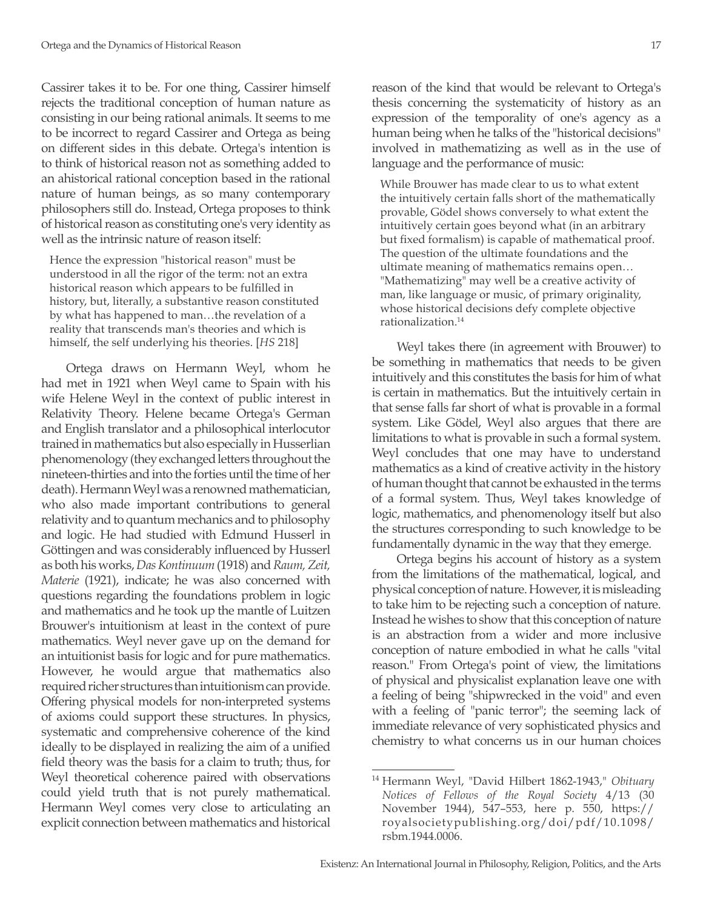Cassirer takes it to be. For one thing, Cassirer himself rejects the traditional conception of human nature as consisting in our being rational animals. It seems to me to be incorrect to regard Cassirer and Ortega as being on different sides in this debate. Ortega's intention is to think of historical reason not as something added to an ahistorical rational conception based in the rational nature of human beings, as so many contemporary philosophers still do. Instead, Ortega proposes to think of historical reason as constituting one's very identity as well as the intrinsic nature of reason itself:

Hence the expression "historical reason" must be understood in all the rigor of the term: not an extra historical reason which appears to be fulfilled in history, but, literally, a substantive reason constituted by what has happened to man…the revelation of a reality that transcends man's theories and which is himself, the self underlying his theories. [*HS* 218]

Ortega draws on Hermann Weyl, whom he had met in 1921 when Weyl came to Spain with his wife Helene Weyl in the context of public interest in Relativity Theory. Helene became Ortega's German and English translator and a philosophical interlocutor trained in mathematics but also especially in Husserlian phenomenology (they exchanged letters throughout the nineteen-thirties and into the forties until the time of her death). Hermann Weyl was a renowned mathematician, who also made important contributions to general relativity and to quantum mechanics and to philosophy and logic. He had studied with Edmund Husserl in Göttingen and was considerably influenced by Husserl as both his works, *Das Kontinuum* (1918) and *Raum, Zeit, Materie* (1921), indicate; he was also concerned with questions regarding the foundations problem in logic and mathematics and he took up the mantle of Luitzen Brouwer's intuitionism at least in the context of pure mathematics. Weyl never gave up on the demand for an intuitionist basis for logic and for pure mathematics. However, he would argue that mathematics also required richer structures than intuitionism can provide. Offering physical models for non-interpreted systems of axioms could support these structures. In physics, systematic and comprehensive coherence of the kind ideally to be displayed in realizing the aim of a unified field theory was the basis for a claim to truth; thus, for Weyl theoretical coherence paired with observations could yield truth that is not purely mathematical. Hermann Weyl comes very close to articulating an explicit connection between mathematics and historical reason of the kind that would be relevant to Ortega's thesis concerning the systematicity of history as an expression of the temporality of one's agency as a human being when he talks of the "historical decisions" involved in mathematizing as well as in the use of language and the performance of music:

While Brouwer has made clear to us to what extent the intuitively certain falls short of the mathematically provable, Gödel shows conversely to what extent the intuitively certain goes beyond what (in an arbitrary but fixed formalism) is capable of mathematical proof. The question of the ultimate foundations and the ultimate meaning of mathematics remains open… "Mathematizing" may well be a creative activity of man, like language or music, of primary originality, whose historical decisions defy complete objective rationalization.14

Weyl takes there (in agreement with Brouwer) to be something in mathematics that needs to be given intuitively and this constitutes the basis for him of what is certain in mathematics. But the intuitively certain in that sense falls far short of what is provable in a formal system. Like Gödel, Weyl also argues that there are limitations to what is provable in such a formal system. Weyl concludes that one may have to understand mathematics as a kind of creative activity in the history of human thought that cannot be exhausted in the terms of a formal system. Thus, Weyl takes knowledge of logic, mathematics, and phenomenology itself but also the structures corresponding to such knowledge to be fundamentally dynamic in the way that they emerge.

Ortega begins his account of history as a system from the limitations of the mathematical, logical, and physical conception of nature. However, it is misleading to take him to be rejecting such a conception of nature. Instead he wishes to show that this conception of nature is an abstraction from a wider and more inclusive conception of nature embodied in what he calls "vital reason." From Ortega's point of view, the limitations of physical and physicalist explanation leave one with a feeling of being "shipwrecked in the void" and even with a feeling of "panic terror"; the seeming lack of immediate relevance of very sophisticated physics and chemistry to what concerns us in our human choices

<sup>14</sup> Hermann Weyl, "David Hilbert 1862-1943," *Obituary Notices of Fellows of the Royal Society* 4/13 (30 November 1944), 547–553, here p. 550, https:// royalsocietypublishing.org/doi/pdf/10.1098/ rsbm.1944.0006.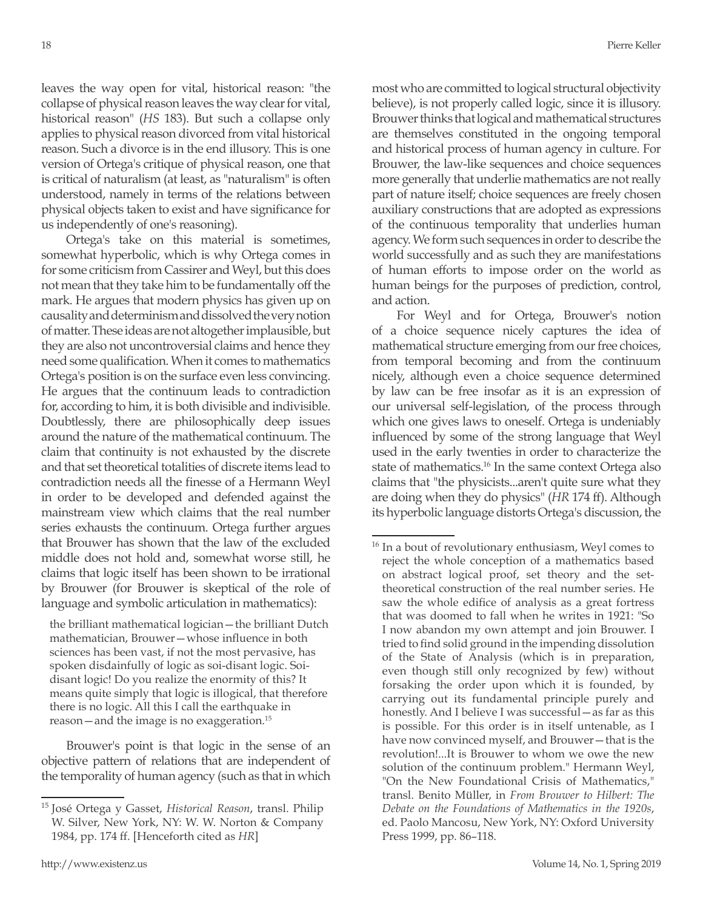leaves the way open for vital, historical reason: "the collapse of physical reason leaves the way clear for vital, historical reason" (*HS* 183). But such a collapse only applies to physical reason divorced from vital historical reason. Such a divorce is in the end illusory. This is one version of Ortega's critique of physical reason, one that is critical of naturalism (at least, as "naturalism" is often understood, namely in terms of the relations between physical objects taken to exist and have significance for us independently of one's reasoning).

Ortega's take on this material is sometimes, somewhat hyperbolic, which is why Ortega comes in for some criticism from Cassirer and Weyl, but this does not mean that they take him to be fundamentally off the mark. He argues that modern physics has given up on causality and determinism and dissolved the very notion of matter. These ideas are not altogether implausible, but they are also not uncontroversial claims and hence they need some qualification. When it comes to mathematics Ortega's position is on the surface even less convincing. He argues that the continuum leads to contradiction for, according to him, it is both divisible and indivisible. Doubtlessly, there are philosophically deep issues around the nature of the mathematical continuum. The claim that continuity is not exhausted by the discrete and that set theoretical totalities of discrete items lead to contradiction needs all the finesse of a Hermann Weyl in order to be developed and defended against the mainstream view which claims that the real number series exhausts the continuum. Ortega further argues that Brouwer has shown that the law of the excluded middle does not hold and, somewhat worse still, he claims that logic itself has been shown to be irrational by Brouwer (for Brouwer is skeptical of the role of language and symbolic articulation in mathematics):

the brilliant mathematical logician—the brilliant Dutch mathematician, Brouwer—whose influence in both sciences has been vast, if not the most pervasive, has spoken disdainfully of logic as soi-disant logic. Soidisant logic! Do you realize the enormity of this? It means quite simply that logic is illogical, that therefore there is no logic. All this I call the earthquake in reason—and the image is no exaggeration.15

Brouwer's point is that logic in the sense of an objective pattern of relations that are independent of the temporality of human agency (such as that in which most who are committed to logical structural objectivity believe), is not properly called logic, since it is illusory. Brouwer thinks that logical and mathematical structures are themselves constituted in the ongoing temporal and historical process of human agency in culture. For Brouwer, the law-like sequences and choice sequences more generally that underlie mathematics are not really part of nature itself; choice sequences are freely chosen auxiliary constructions that are adopted as expressions of the continuous temporality that underlies human agency. We form such sequences in order to describe the world successfully and as such they are manifestations of human efforts to impose order on the world as human beings for the purposes of prediction, control, and action.

For Weyl and for Ortega, Brouwer's notion of a choice sequence nicely captures the idea of mathematical structure emerging from our free choices, from temporal becoming and from the continuum nicely, although even a choice sequence determined by law can be free insofar as it is an expression of our universal self-legislation, of the process through which one gives laws to oneself. Ortega is undeniably influenced by some of the strong language that Weyl used in the early twenties in order to characterize the state of mathematics.<sup>16</sup> In the same context Ortega also claims that "the physicists...aren't quite sure what they are doing when they do physics" (*HR* 174 ff). Although its hyperbolic language distorts Ortega's discussion, the

<sup>15</sup> José Ortega y Gasset, *Historical Reason*, transl. Philip W. Silver, New York, NY: W. W. Norton & Company 1984, pp. 174 ff. [Henceforth cited as *HR*]

<sup>&</sup>lt;sup>16</sup> In a bout of revolutionary enthusiasm, Weyl comes to reject the whole conception of a mathematics based on abstract logical proof, set theory and the settheoretical construction of the real number series. He saw the whole edifice of analysis as a great fortress that was doomed to fall when he writes in 1921: "So I now abandon my own attempt and join Brouwer. I tried to find solid ground in the impending dissolution of the State of Analysis (which is in preparation, even though still only recognized by few) without forsaking the order upon which it is founded, by carrying out its fundamental principle purely and honestly. And I believe I was successful—as far as this is possible. For this order is in itself untenable, as I have now convinced myself, and Brouwer—that is the revolution!...It is Brouwer to whom we owe the new solution of the continuum problem." Hermann Weyl, "On the New Foundational Crisis of Mathematics," transl. Benito Müller, in *From Brouwer to Hilbert: The Debate on the Foundations of Mathematics in the 1920s*, ed. Paolo Mancosu, New York, NY: Oxford University Press 1999, pp. 86–118.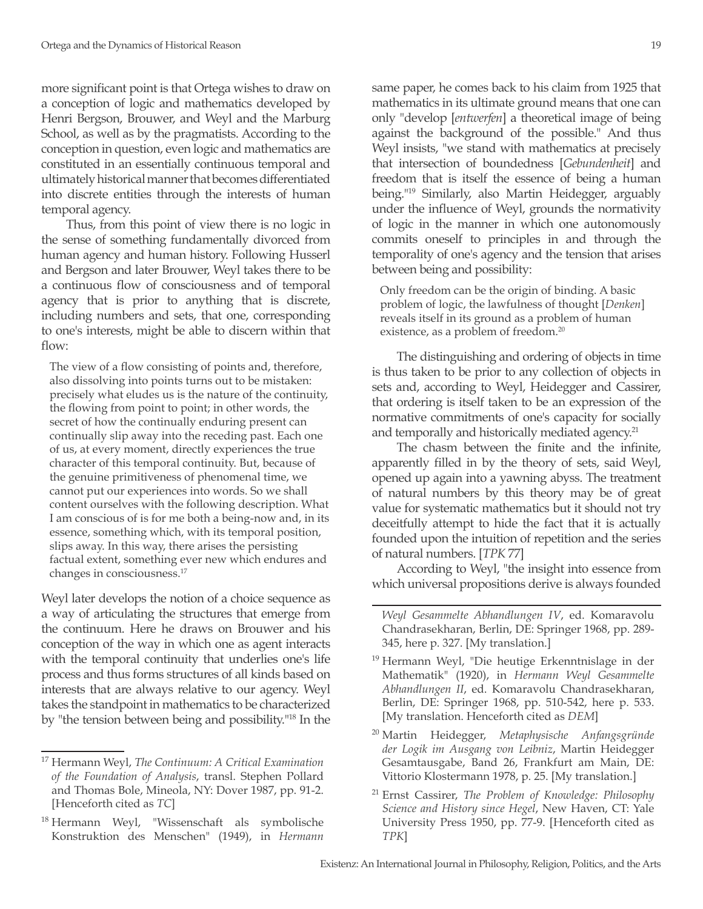more significant point is that Ortega wishes to draw on a conception of logic and mathematics developed by Henri Bergson, Brouwer, and Weyl and the Marburg School, as well as by the pragmatists. According to the conception in question, even logic and mathematics are constituted in an essentially continuous temporal and ultimately historical manner that becomes differentiated into discrete entities through the interests of human temporal agency.

Thus, from this point of view there is no logic in the sense of something fundamentally divorced from human agency and human history. Following Husserl and Bergson and later Brouwer, Weyl takes there to be a continuous flow of consciousness and of temporal agency that is prior to anything that is discrete, including numbers and sets, that one, corresponding to one's interests, might be able to discern within that flow:

The view of a flow consisting of points and, therefore, also dissolving into points turns out to be mistaken: precisely what eludes us is the nature of the continuity, the flowing from point to point; in other words, the secret of how the continually enduring present can continually slip away into the receding past. Each one of us, at every moment, directly experiences the true character of this temporal continuity. But, because of the genuine primitiveness of phenomenal time, we cannot put our experiences into words. So we shall content ourselves with the following description. What I am conscious of is for me both a being-now and, in its essence, something which, with its temporal position, slips away. In this way, there arises the persisting factual extent, something ever new which endures and changes in consciousness.17

Weyl later develops the notion of a choice sequence as a way of articulating the structures that emerge from the continuum. Here he draws on Brouwer and his conception of the way in which one as agent interacts with the temporal continuity that underlies one's life process and thus forms structures of all kinds based on interests that are always relative to our agency. Weyl takes the standpoint in mathematics to be characterized by "the tension between being and possibility."18 In the same paper, he comes back to his claim from 1925 that mathematics in its ultimate ground means that one can only "develop [*entwerfen*] a theoretical image of being against the background of the possible." And thus Weyl insists, "we stand with mathematics at precisely that intersection of boundedness [*Gebundenheit*] and freedom that is itself the essence of being a human being."19 Similarly, also Martin Heidegger, arguably under the influence of Weyl, grounds the normativity of logic in the manner in which one autonomously commits oneself to principles in and through the temporality of one's agency and the tension that arises between being and possibility:

Only freedom can be the origin of binding. A basic problem of logic, the lawfulness of thought [*Denken*] reveals itself in its ground as a problem of human existence, as a problem of freedom.20

The distinguishing and ordering of objects in time is thus taken to be prior to any collection of objects in sets and, according to Weyl, Heidegger and Cassirer, that ordering is itself taken to be an expression of the normative commitments of one's capacity for socially and temporally and historically mediated agency.<sup>21</sup>

The chasm between the finite and the infinite, apparently filled in by the theory of sets, said Weyl, opened up again into a yawning abyss. The treatment of natural numbers by this theory may be of great value for systematic mathematics but it should not try deceitfully attempt to hide the fact that it is actually founded upon the intuition of repetition and the series of natural numbers. [*TPK* 77]

According to Weyl, "the insight into essence from which universal propositions derive is always founded

*Weyl Gesammelte Abhandlungen IV*, ed. Komaravolu Chandrasekharan, Berlin, DE: Springer 1968, pp. 289- 345, here p. 327. [My translation.]

- <sup>19</sup> Hermann Weyl, "Die heutige Erkenntnislage in der Mathematik" (1920), in *Hermann Weyl Gesammelte Abhandlungen II*, ed. Komaravolu Chandrasekharan, Berlin, DE: Springer 1968, pp. 510-542, here p. 533. [My translation. Henceforth cited as *DEM*]
- <sup>20</sup> Martin Heidegger, *Metaphysische Anfangsgründe der Logik im Ausgang von Leibniz*, Martin Heidegger Gesamtausgabe, Band 26, Frankfurt am Main, DE: Vittorio Klostermann 1978, p. 25. [My translation.]
- <sup>21</sup> Ernst Cassirer, *The Problem of Knowledge: Philosophy Science and History since Hegel*, New Haven, CT: Yale University Press 1950, pp. 77-9. [Henceforth cited as *TPK*]

<sup>17</sup> Hermann Weyl, *The Continuum: A Critical Examination of the Foundation of Analysis*, transl. Stephen Pollard and Thomas Bole, Mineola, NY: Dover 1987, pp. 91-2. [Henceforth cited as *TC*]

<sup>&</sup>lt;sup>18</sup> Hermann Weyl, "Wissenschaft als symbolische Konstruktion des Menschen" (1949), in *Hermann*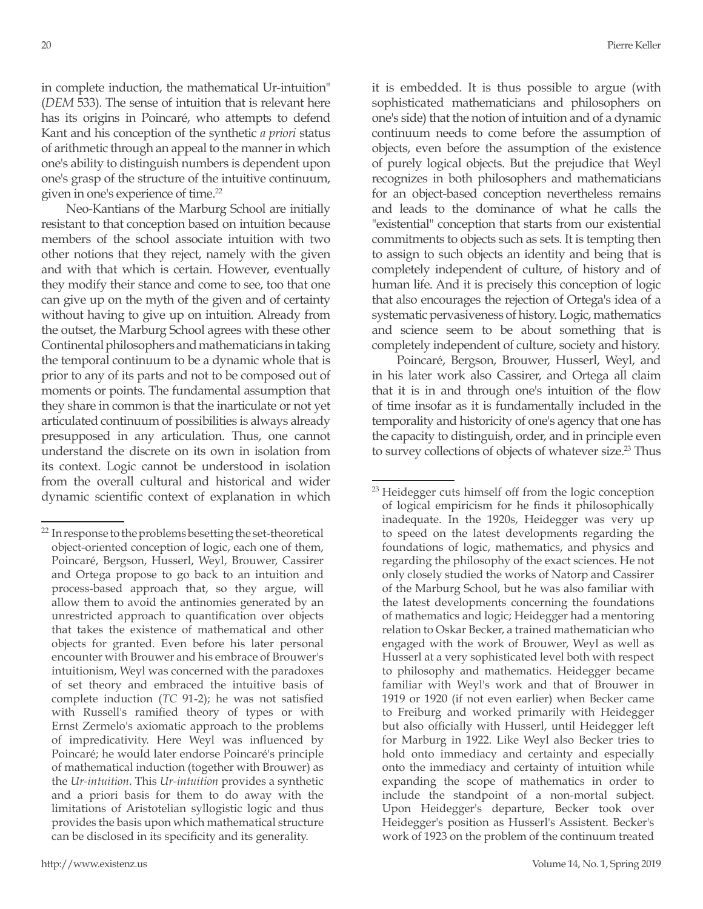in complete induction, the mathematical Ur-intuition" (*DEM* 533). The sense of intuition that is relevant here has its origins in Poincaré, who attempts to defend Kant and his conception of the synthetic *a priori* status of arithmetic through an appeal to the manner in which one's ability to distinguish numbers is dependent upon one's grasp of the structure of the intuitive continuum, given in one's experience of time.22

Neo-Kantians of the Marburg School are initially resistant to that conception based on intuition because members of the school associate intuition with two other notions that they reject, namely with the given and with that which is certain. However, eventually they modify their stance and come to see, too that one can give up on the myth of the given and of certainty without having to give up on intuition. Already from the outset, the Marburg School agrees with these other Continental philosophers and mathematicians in taking the temporal continuum to be a dynamic whole that is prior to any of its parts and not to be composed out of moments or points. The fundamental assumption that they share in common is that the inarticulate or not yet articulated continuum of possibilities is always already presupposed in any articulation. Thus, one cannot understand the discrete on its own in isolation from its context. Logic cannot be understood in isolation from the overall cultural and historical and wider dynamic scientific context of explanation in which

it is embedded. It is thus possible to argue (with sophisticated mathematicians and philosophers on one's side) that the notion of intuition and of a dynamic continuum needs to come before the assumption of objects, even before the assumption of the existence of purely logical objects. But the prejudice that Weyl recognizes in both philosophers and mathematicians for an object-based conception nevertheless remains and leads to the dominance of what he calls the "existential" conception that starts from our existential commitments to objects such as sets. It is tempting then to assign to such objects an identity and being that is completely independent of culture, of history and of human life. And it is precisely this conception of logic that also encourages the rejection of Ortega's idea of a systematic pervasiveness of history. Logic, mathematics and science seem to be about something that is completely independent of culture, society and history.

Poincaré, Bergson, Brouwer, Husserl, Weyl, and in his later work also Cassirer, and Ortega all claim that it is in and through one's intuition of the flow of time insofar as it is fundamentally included in the temporality and historicity of one's agency that one has the capacity to distinguish, order, and in principle even to survey collections of objects of whatever size.<sup>23</sup> Thus

 $22$  In response to the problems besetting the set-theoretical object-oriented conception of logic, each one of them, Poincaré, Bergson, Husserl, Weyl, Brouwer, Cassirer and Ortega propose to go back to an intuition and process-based approach that, so they argue, will allow them to avoid the antinomies generated by an unrestricted approach to quantification over objects that takes the existence of mathematical and other objects for granted. Even before his later personal encounter with Brouwer and his embrace of Brouwer's intuitionism, Weyl was concerned with the paradoxes of set theory and embraced the intuitive basis of complete induction (*TC* 91-2); he was not satisfied with Russell's ramified theory of types or with Ernst Zermelo's axiomatic approach to the problems of impredicativity. Here Weyl was influenced by Poincaré; he would later endorse Poincaré's principle of mathematical induction (together with Brouwer) as the *Ur-intuition*. This *Ur-intuition* provides a synthetic and a priori basis for them to do away with the limitations of Aristotelian syllogistic logic and thus provides the basis upon which mathematical structure can be disclosed in its specificity and its generality.

<sup>&</sup>lt;sup>23</sup> Heidegger cuts himself off from the logic conception of logical empiricism for he finds it philosophically inadequate. In the 1920s, Heidegger was very up to speed on the latest developments regarding the foundations of logic, mathematics, and physics and regarding the philosophy of the exact sciences. He not only closely studied the works of Natorp and Cassirer of the Marburg School, but he was also familiar with the latest developments concerning the foundations of mathematics and logic; Heidegger had a mentoring relation to Oskar Becker, a trained mathematician who engaged with the work of Brouwer, Weyl as well as Husserl at a very sophisticated level both with respect to philosophy and mathematics. Heidegger became familiar with Weyl's work and that of Brouwer in 1919 or 1920 (if not even earlier) when Becker came to Freiburg and worked primarily with Heidegger but also officially with Husserl, until Heidegger left for Marburg in 1922. Like Weyl also Becker tries to hold onto immediacy and certainty and especially onto the immediacy and certainty of intuition while expanding the scope of mathematics in order to include the standpoint of a non-mortal subject. Upon Heidegger's departure, Becker took over Heidegger's position as Husserl's Assistent. Becker's work of 1923 on the problem of the continuum treated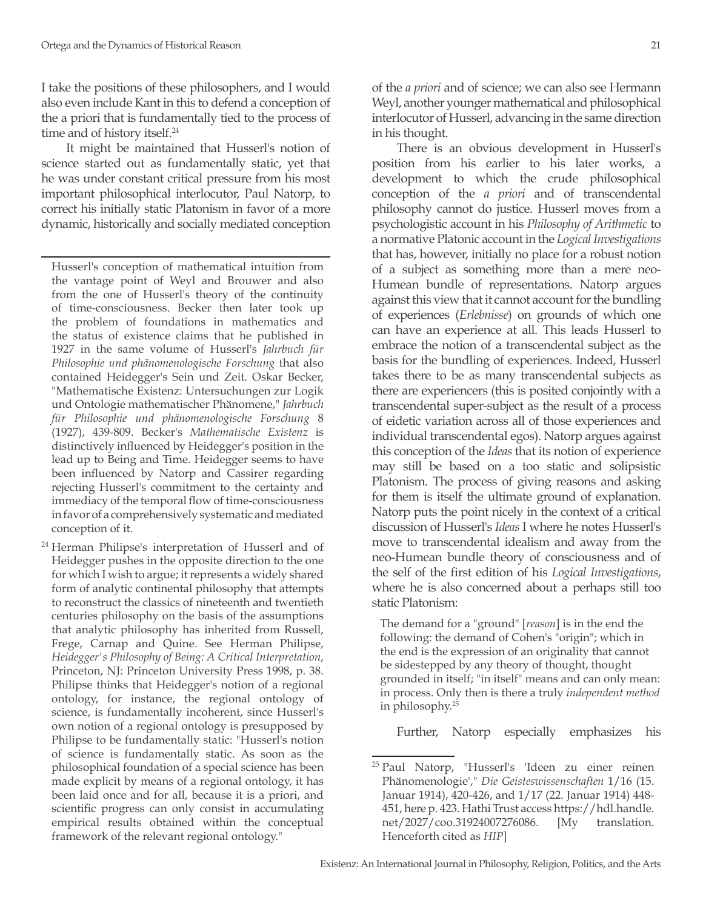I take the positions of these philosophers, and I would also even include Kant in this to defend a conception of the a priori that is fundamentally tied to the process of time and of history itself.<sup>24</sup>

It might be maintained that Husserl's notion of science started out as fundamentally static, yet that he was under constant critical pressure from his most important philosophical interlocutor, Paul Natorp, to correct his initially static Platonism in favor of a more dynamic, historically and socially mediated conception

Husserl's conception of mathematical intuition from the vantage point of Weyl and Brouwer and also from the one of Husserl's theory of the continuity of time-consciousness. Becker then later took up the problem of foundations in mathematics and the status of existence claims that he published in 1927 in the same volume of Husserl's *Jahrbuch für Philosophie und phänomenologische Forschung* that also contained Heidegger's Sein und Zeit. Oskar Becker, "Mathematische Existenz: Untersuchungen zur Logik und Ontologie mathematischer Phänomene," *Jahrbuch für Philosophie und phänomenologische Forschung* 8 (1927), 439-809. Becker's *Mathematische Existenz* is distinctively influenced by Heidegger's position in the lead up to Being and Time. Heidegger seems to have been influenced by Natorp and Cassirer regarding rejecting Husserl's commitment to the certainty and immediacy of the temporal flow of time-consciousness in favor of a comprehensively systematic and mediated conception of it.

<sup>24</sup> Herman Philipse's interpretation of Husserl and of Heidegger pushes in the opposite direction to the one for which I wish to argue; it represents a widely shared form of analytic continental philosophy that attempts to reconstruct the classics of nineteenth and twentieth centuries philosophy on the basis of the assumptions that analytic philosophy has inherited from Russell, Frege, Carnap and Quine. See Herman Philipse, *Heidegger's Philosophy of Being: A Critical Interpretation*, Princeton, NJ: Princeton University Press 1998, p. 38. Philipse thinks that Heidegger's notion of a regional ontology, for instance, the regional ontology of science, is fundamentally incoherent, since Husserl's own notion of a regional ontology is presupposed by Philipse to be fundamentally static: "Husserl's notion of science is fundamentally static. As soon as the philosophical foundation of a special science has been made explicit by means of a regional ontology, it has been laid once and for all, because it is a priori, and scientific progress can only consist in accumulating empirical results obtained within the conceptual framework of the relevant regional ontology."

of the *a priori* and of science; we can also see Hermann Weyl, another younger mathematical and philosophical interlocutor of Husserl, advancing in the same direction in his thought.

There is an obvious development in Husserl's position from his earlier to his later works, a development to which the crude philosophical conception of the *a priori* and of transcendental philosophy cannot do justice. Husserl moves from a psychologistic account in his *Philosophy of Arithmetic* to a normative Platonic account in the *Logical Investigations* that has, however, initially no place for a robust notion of a subject as something more than a mere neo-Humean bundle of representations. Natorp argues against this view that it cannot account for the bundling of experiences (*Erlebnisse*) on grounds of which one can have an experience at all. This leads Husserl to embrace the notion of a transcendental subject as the basis for the bundling of experiences. Indeed, Husserl takes there to be as many transcendental subjects as there are experiencers (this is posited conjointly with a transcendental super-subject as the result of a process of eidetic variation across all of those experiences and individual transcendental egos). Natorp argues against this conception of the *Ideas* that its notion of experience may still be based on a too static and solipsistic Platonism. The process of giving reasons and asking for them is itself the ultimate ground of explanation. Natorp puts the point nicely in the context of a critical discussion of Husserl's *Ideas* I where he notes Husserl's move to transcendental idealism and away from the neo-Humean bundle theory of consciousness and of the self of the first edition of his *Logical Investigations*, where he is also concerned about a perhaps still too static Platonism:

The demand for a "ground" [*reason*] is in the end the following: the demand of Cohen's "origin"; which in the end is the expression of an originality that cannot be sidestepped by any theory of thought, thought grounded in itself; "in itself" means and can only mean: in process. Only then is there a truly *independent method* in philosophy.25

Further, Natorp especially emphasizes his

<sup>&</sup>lt;sup>25</sup> Paul Natorp, "Husserl's 'Ideen zu einer reinen Phänomenologie'," *Die Geisteswissenschaften* 1/16 (15. Januar 1914), 420-426, and 1/17 (22. Januar 1914) 448- 451, here p. 423. Hathi Trust access https://hdl.handle. net/2027/coo.31924007276086. [My translation. Henceforth cited as *HIP*]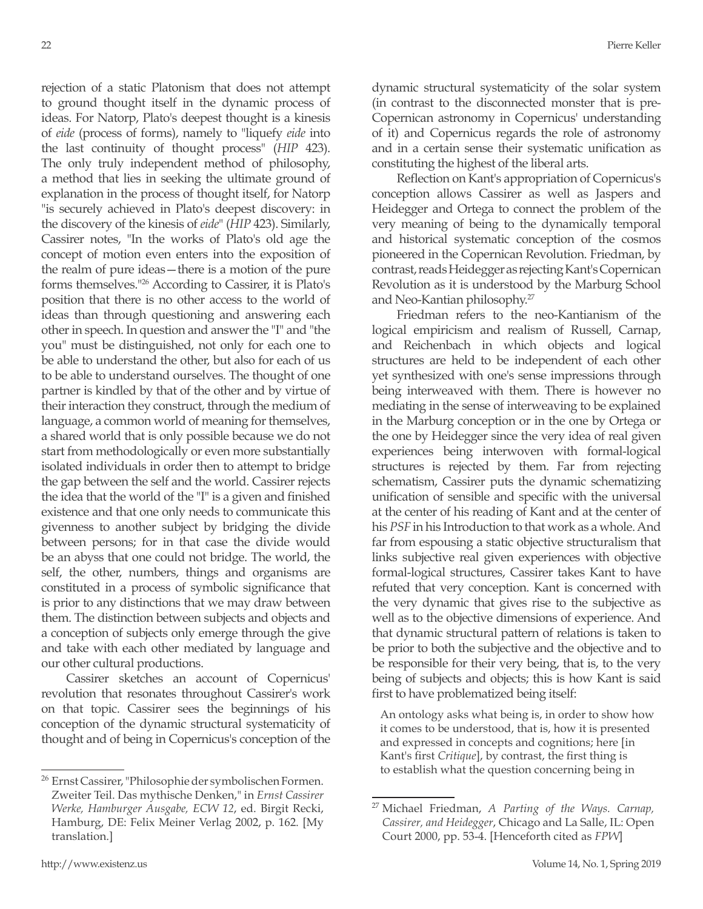rejection of a static Platonism that does not attempt to ground thought itself in the dynamic process of ideas. For Natorp, Plato's deepest thought is a kinesis of *eide* (process of forms), namely to "liquefy *eide* into the last continuity of thought process" (*HIP* 423). The only truly independent method of philosophy, a method that lies in seeking the ultimate ground of explanation in the process of thought itself, for Natorp "is securely achieved in Plato's deepest discovery: in the discovery of the kinesis of *eide*" (*HIP* 423). Similarly, Cassirer notes, "In the works of Plato's old age the concept of motion even enters into the exposition of the realm of pure ideas—there is a motion of the pure forms themselves."26 According to Cassirer, it is Plato's position that there is no other access to the world of ideas than through questioning and answering each other in speech. In question and answer the "I" and "the you" must be distinguished, not only for each one to be able to understand the other, but also for each of us to be able to understand ourselves. The thought of one partner is kindled by that of the other and by virtue of their interaction they construct, through the medium of language, a common world of meaning for themselves, a shared world that is only possible because we do not start from methodologically or even more substantially isolated individuals in order then to attempt to bridge the gap between the self and the world. Cassirer rejects the idea that the world of the "I" is a given and finished existence and that one only needs to communicate this givenness to another subject by bridging the divide between persons; for in that case the divide would be an abyss that one could not bridge. The world, the self, the other, numbers, things and organisms are constituted in a process of symbolic significance that is prior to any distinctions that we may draw between them. The distinction between subjects and objects and a conception of subjects only emerge through the give and take with each other mediated by language and our other cultural productions.

Cassirer sketches an account of Copernicus' revolution that resonates throughout Cassirer's work on that topic. Cassirer sees the beginnings of his conception of the dynamic structural systematicity of thought and of being in Copernicus's conception of the dynamic structural systematicity of the solar system (in contrast to the disconnected monster that is pre-Copernican astronomy in Copernicus' understanding of it) and Copernicus regards the role of astronomy and in a certain sense their systematic unification as constituting the highest of the liberal arts.

Reflection on Kant's appropriation of Copernicus's conception allows Cassirer as well as Jaspers and Heidegger and Ortega to connect the problem of the very meaning of being to the dynamically temporal and historical systematic conception of the cosmos pioneered in the Copernican Revolution. Friedman, by contrast, reads Heidegger as rejecting Kant's Copernican Revolution as it is understood by the Marburg School and Neo-Kantian philosophy.27

Friedman refers to the neo-Kantianism of the logical empiricism and realism of Russell, Carnap, and Reichenbach in which objects and logical structures are held to be independent of each other yet synthesized with one's sense impressions through being interweaved with them. There is however no mediating in the sense of interweaving to be explained in the Marburg conception or in the one by Ortega or the one by Heidegger since the very idea of real given experiences being interwoven with formal-logical structures is rejected by them. Far from rejecting schematism, Cassirer puts the dynamic schematizing unification of sensible and specific with the universal at the center of his reading of Kant and at the center of his *PSF* in his Introduction to that work as a whole. And far from espousing a static objective structuralism that links subjective real given experiences with objective formal-logical structures, Cassirer takes Kant to have refuted that very conception. Kant is concerned with the very dynamic that gives rise to the subjective as well as to the objective dimensions of experience. And that dynamic structural pattern of relations is taken to be prior to both the subjective and the objective and to be responsible for their very being, that is, to the very being of subjects and objects; this is how Kant is said first to have problematized being itself:

An ontology asks what being is, in order to show how it comes to be understood, that is, how it is presented and expressed in concepts and cognitions; here [in Kant's first *Critique*], by contrast, the first thing is to establish what the question concerning being in

<sup>26</sup> Ernst Cassirer, "Philosophie der symbolischen Formen. Zweiter Teil. Das mythische Denken," in *Ernst Cassirer Werke, Hamburger Ausgabe, ECW 12*, ed. Birgit Recki, Hamburg, DE: Felix Meiner Verlag 2002, p. 162. [My translation.]

<sup>27</sup> Michael Friedman, *A Parting of the Ways. Carnap, Cassirer, and Heidegger*, Chicago and La Salle, IL: Open Court 2000, pp. 53-4. [Henceforth cited as *FPW*]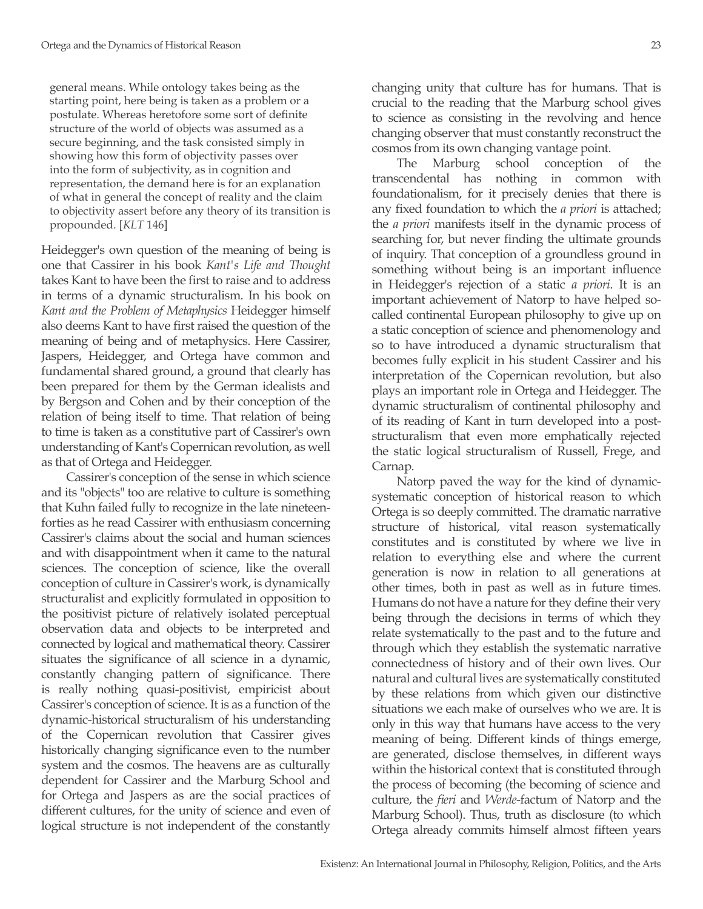general means. While ontology takes being as the starting point, here being is taken as a problem or a postulate. Whereas heretofore some sort of definite structure of the world of objects was assumed as a secure beginning, and the task consisted simply in showing how this form of objectivity passes over into the form of subjectivity, as in cognition and representation, the demand here is for an explanation of what in general the concept of reality and the claim to objectivity assert before any theory of its transition is propounded. [*KLT* 146]

Heidegger's own question of the meaning of being is one that Cassirer in his book *Kant's Life and Thought*  takes Kant to have been the first to raise and to address in terms of a dynamic structuralism. In his book on *Kant and the Problem of Metaphysics* Heidegger himself also deems Kant to have first raised the question of the meaning of being and of metaphysics. Here Cassirer, Jaspers, Heidegger, and Ortega have common and fundamental shared ground, a ground that clearly has been prepared for them by the German idealists and by Bergson and Cohen and by their conception of the relation of being itself to time. That relation of being to time is taken as a constitutive part of Cassirer's own understanding of Kant's Copernican revolution, as well as that of Ortega and Heidegger.

Cassirer's conception of the sense in which science and its "objects" too are relative to culture is something that Kuhn failed fully to recognize in the late nineteenforties as he read Cassirer with enthusiasm concerning Cassirer's claims about the social and human sciences and with disappointment when it came to the natural sciences. The conception of science, like the overall conception of culture in Cassirer's work, is dynamically structuralist and explicitly formulated in opposition to the positivist picture of relatively isolated perceptual observation data and objects to be interpreted and connected by logical and mathematical theory. Cassirer situates the significance of all science in a dynamic, constantly changing pattern of significance. There is really nothing quasi-positivist, empiricist about Cassirer's conception of science. It is as a function of the dynamic-historical structuralism of his understanding of the Copernican revolution that Cassirer gives historically changing significance even to the number system and the cosmos. The heavens are as culturally dependent for Cassirer and the Marburg School and for Ortega and Jaspers as are the social practices of different cultures, for the unity of science and even of logical structure is not independent of the constantly

changing unity that culture has for humans. That is crucial to the reading that the Marburg school gives to science as consisting in the revolving and hence changing observer that must constantly reconstruct the cosmos from its own changing vantage point.

The Marburg school conception of the transcendental has nothing in common with foundationalism, for it precisely denies that there is any fixed foundation to which the *a priori* is attached; the *a priori* manifests itself in the dynamic process of searching for, but never finding the ultimate grounds of inquiry. That conception of a groundless ground in something without being is an important influence in Heidegger's rejection of a static *a priori*. It is an important achievement of Natorp to have helped socalled continental European philosophy to give up on a static conception of science and phenomenology and so to have introduced a dynamic structuralism that becomes fully explicit in his student Cassirer and his interpretation of the Copernican revolution, but also plays an important role in Ortega and Heidegger. The dynamic structuralism of continental philosophy and of its reading of Kant in turn developed into a poststructuralism that even more emphatically rejected the static logical structuralism of Russell, Frege, and Carnap.

Natorp paved the way for the kind of dynamicsystematic conception of historical reason to which Ortega is so deeply committed. The dramatic narrative structure of historical, vital reason systematically constitutes and is constituted by where we live in relation to everything else and where the current generation is now in relation to all generations at other times, both in past as well as in future times. Humans do not have a nature for they define their very being through the decisions in terms of which they relate systematically to the past and to the future and through which they establish the systematic narrative connectedness of history and of their own lives. Our natural and cultural lives are systematically constituted by these relations from which given our distinctive situations we each make of ourselves who we are. It is only in this way that humans have access to the very meaning of being. Different kinds of things emerge, are generated, disclose themselves, in different ways within the historical context that is constituted through the process of becoming (the becoming of science and culture, the *fieri* and *Werde*-factum of Natorp and the Marburg School). Thus, truth as disclosure (to which Ortega already commits himself almost fifteen years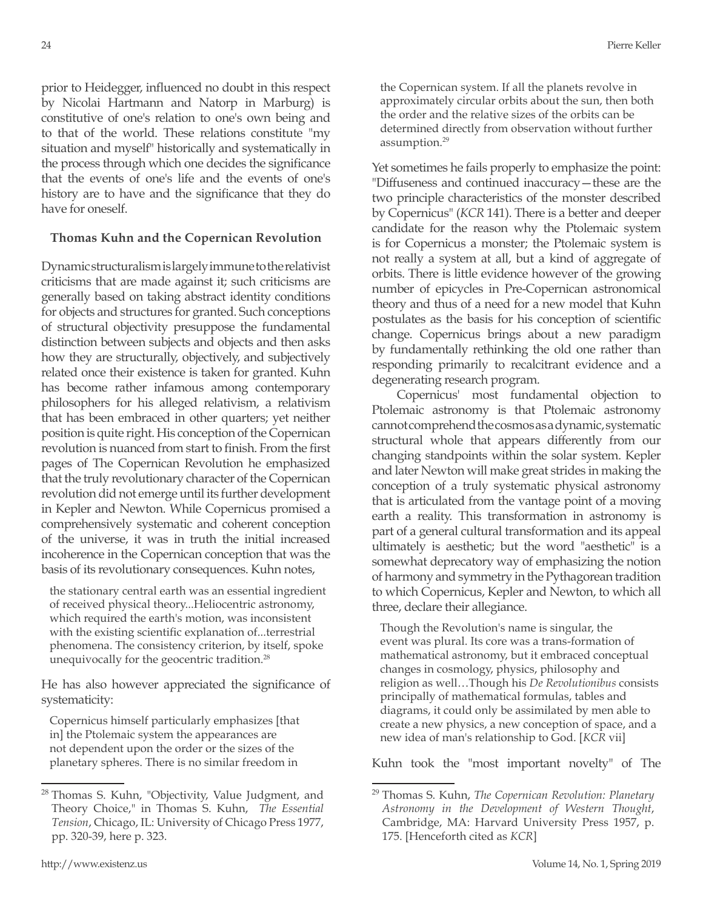prior to Heidegger, influenced no doubt in this respect by Nicolai Hartmann and Natorp in Marburg) is constitutive of one's relation to one's own being and to that of the world. These relations constitute "my situation and myself" historically and systematically in the process through which one decides the significance that the events of one's life and the events of one's history are to have and the significance that they do have for oneself.

## **Thomas Kuhn and the Copernican Revolution**

Dynamic structuralism is largely immune to the relativist criticisms that are made against it; such criticisms are generally based on taking abstract identity conditions for objects and structures for granted. Such conceptions of structural objectivity presuppose the fundamental distinction between subjects and objects and then asks how they are structurally, objectively, and subjectively related once their existence is taken for granted. Kuhn has become rather infamous among contemporary philosophers for his alleged relativism, a relativism that has been embraced in other quarters; yet neither position is quite right. His conception of the Copernican revolution is nuanced from start to finish. From the first pages of The Copernican Revolution he emphasized that the truly revolutionary character of the Copernican revolution did not emerge until its further development in Kepler and Newton. While Copernicus promised a comprehensively systematic and coherent conception of the universe, it was in truth the initial increased incoherence in the Copernican conception that was the basis of its revolutionary consequences. Kuhn notes,

the stationary central earth was an essential ingredient of received physical theory...Heliocentric astronomy, which required the earth's motion, was inconsistent with the existing scientific explanation of...terrestrial phenomena. The consistency criterion, by itself, spoke unequivocally for the geocentric tradition.<sup>28</sup>

He has also however appreciated the significance of systematicity:

Copernicus himself particularly emphasizes [that in] the Ptolemaic system the appearances are not dependent upon the order or the sizes of the planetary spheres. There is no similar freedom in

the Copernican system. If all the planets revolve in approximately circular orbits about the sun, then both the order and the relative sizes of the orbits can be determined directly from observation without further assumption.29

Yet sometimes he fails properly to emphasize the point: "Diffuseness and continued inaccuracy—these are the two principle characteristics of the monster described by Copernicus" (*KCR* 141). There is a better and deeper candidate for the reason why the Ptolemaic system is for Copernicus a monster; the Ptolemaic system is not really a system at all, but a kind of aggregate of orbits. There is little evidence however of the growing number of epicycles in Pre-Copernican astronomical theory and thus of a need for a new model that Kuhn postulates as the basis for his conception of scientific change. Copernicus brings about a new paradigm by fundamentally rethinking the old one rather than responding primarily to recalcitrant evidence and a degenerating research program.

Copernicus' most fundamental objection to Ptolemaic astronomy is that Ptolemaic astronomy cannot comprehend the cosmos as a dynamic, systematic structural whole that appears differently from our changing standpoints within the solar system. Kepler and later Newton will make great strides in making the conception of a truly systematic physical astronomy that is articulated from the vantage point of a moving earth a reality. This transformation in astronomy is part of a general cultural transformation and its appeal ultimately is aesthetic; but the word "aesthetic" is a somewhat deprecatory way of emphasizing the notion of harmony and symmetry in the Pythagorean tradition to which Copernicus, Kepler and Newton, to which all three, declare their allegiance.

Though the Revolution's name is singular, the event was plural. Its core was a trans-formation of mathematical astronomy, but it embraced conceptual changes in cosmology, physics, philosophy and religion as well…Though his *De Revolutionibus* consists principally of mathematical formulas, tables and diagrams, it could only be assimilated by men able to create a new physics, a new conception of space, and a new idea of man's relationship to God. [*KCR* vii]

Kuhn took the "most important novelty" of The

<sup>&</sup>lt;sup>28</sup> Thomas S. Kuhn, "Objectivity, Value Judgment, and Theory Choice," in Thomas S. Kuhn, *The Essential Tension*, Chicago, IL: University of Chicago Press 1977, pp. 320-39, here p. 323.

<sup>29</sup> Thomas S. Kuhn, *The Copernican Revolution: Planetary Astronomy in the Development of Western Thought*, Cambridge, MA: Harvard University Press 1957, p. 175. [Henceforth cited as *KCR*]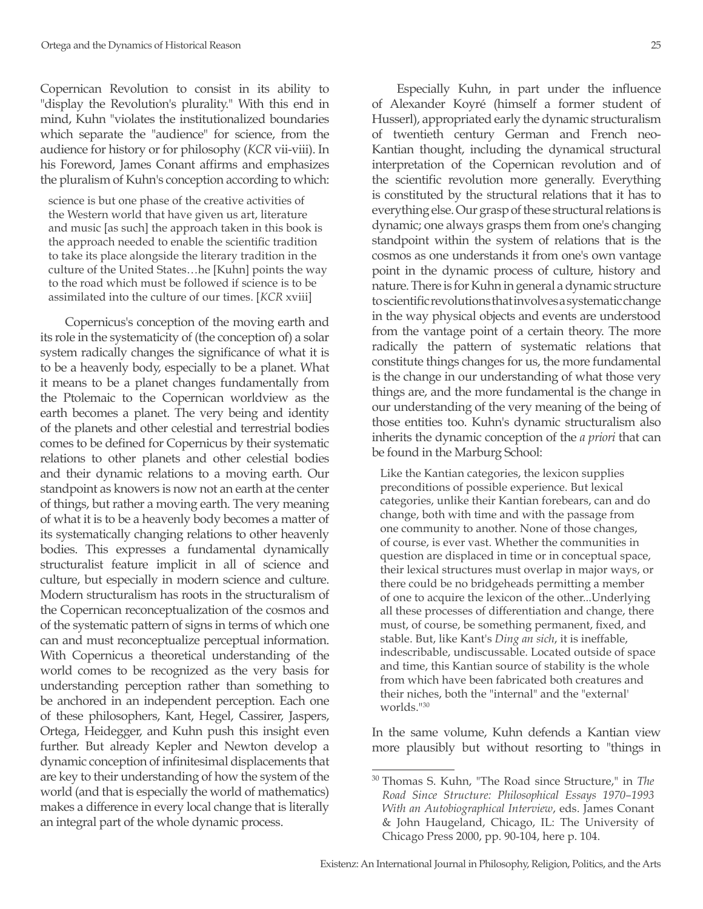Copernican Revolution to consist in its ability to "display the Revolution's plurality." With this end in mind, Kuhn "violates the institutionalized boundaries which separate the "audience" for science, from the audience for history or for philosophy (*KCR* vii-viii). In his Foreword, James Conant affirms and emphasizes the pluralism of Kuhn's conception according to which:

science is but one phase of the creative activities of the Western world that have given us art, literature and music [as such] the approach taken in this book is the approach needed to enable the scientific tradition to take its place alongside the literary tradition in the culture of the United States…he [Kuhn] points the way to the road which must be followed if science is to be assimilated into the culture of our times. [*KCR* xviii]

Copernicus's conception of the moving earth and its role in the systematicity of (the conception of) a solar system radically changes the significance of what it is to be a heavenly body, especially to be a planet. What it means to be a planet changes fundamentally from the Ptolemaic to the Copernican worldview as the earth becomes a planet. The very being and identity of the planets and other celestial and terrestrial bodies comes to be defined for Copernicus by their systematic relations to other planets and other celestial bodies and their dynamic relations to a moving earth. Our standpoint as knowers is now not an earth at the center of things, but rather a moving earth. The very meaning of what it is to be a heavenly body becomes a matter of its systematically changing relations to other heavenly bodies. This expresses a fundamental dynamically structuralist feature implicit in all of science and culture, but especially in modern science and culture. Modern structuralism has roots in the structuralism of the Copernican reconceptualization of the cosmos and of the systematic pattern of signs in terms of which one can and must reconceptualize perceptual information. With Copernicus a theoretical understanding of the world comes to be recognized as the very basis for understanding perception rather than something to be anchored in an independent perception. Each one of these philosophers, Kant, Hegel, Cassirer, Jaspers, Ortega, Heidegger, and Kuhn push this insight even further. But already Kepler and Newton develop a dynamic conception of infinitesimal displacements that are key to their understanding of how the system of the world (and that is especially the world of mathematics) makes a difference in every local change that is literally an integral part of the whole dynamic process.

Especially Kuhn, in part under the influence of Alexander Koyré (himself a former student of Husserl), appropriated early the dynamic structuralism of twentieth century German and French neo-Kantian thought, including the dynamical structural interpretation of the Copernican revolution and of the scientific revolution more generally. Everything is constituted by the structural relations that it has to everything else. Our grasp of these structural relations is dynamic; one always grasps them from one's changing standpoint within the system of relations that is the cosmos as one understands it from one's own vantage point in the dynamic process of culture, history and nature. There is for Kuhn in general a dynamic structure to scientific revolutions that involves a systematic change in the way physical objects and events are understood from the vantage point of a certain theory. The more radically the pattern of systematic relations that constitute things changes for us, the more fundamental is the change in our understanding of what those very things are, and the more fundamental is the change in our understanding of the very meaning of the being of those entities too. Kuhn's dynamic structuralism also inherits the dynamic conception of the *a priori* that can be found in the Marburg School:

Like the Kantian categories, the lexicon supplies preconditions of possible experience. But lexical categories, unlike their Kantian forebears, can and do change, both with time and with the passage from one community to another. None of those changes, of course, is ever vast. Whether the communities in question are displaced in time or in conceptual space, their lexical structures must overlap in major ways, or there could be no bridgeheads permitting a member of one to acquire the lexicon of the other...Underlying all these processes of differentiation and change, there must, of course, be something permanent, fixed, and stable. But, like Kant's *Ding an sich*, it is ineffable, indescribable, undiscussable. Located outside of space and time, this Kantian source of stability is the whole from which have been fabricated both creatures and their niches, both the "internal" and the "external' worlds."30

In the same volume, Kuhn defends a Kantian view more plausibly but without resorting to "things in

<sup>30</sup> Thomas S. Kuhn, "The Road since Structure," in *The Road Since Structure: Philosophical Essays 1970–1993 With an Autobiographical Interview*, eds. James Conant & John Haugeland, Chicago, IL: The University of Chicago Press 2000, pp. 90-104, here p. 104.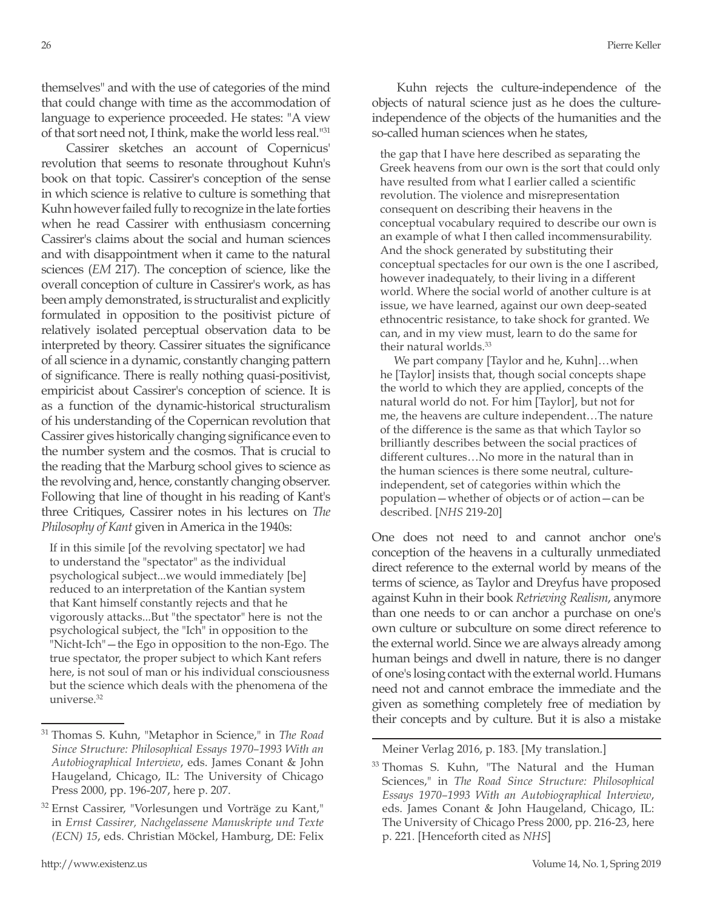themselves" and with the use of categories of the mind that could change with time as the accommodation of language to experience proceeded. He states: "A view of that sort need not, I think, make the world less real."31

Cassirer sketches an account of Copernicus' revolution that seems to resonate throughout Kuhn's book on that topic. Cassirer's conception of the sense in which science is relative to culture is something that Kuhn however failed fully to recognize in the late forties when he read Cassirer with enthusiasm concerning Cassirer's claims about the social and human sciences and with disappointment when it came to the natural sciences (*EM* 217). The conception of science, like the overall conception of culture in Cassirer's work, as has been amply demonstrated, is structuralist and explicitly formulated in opposition to the positivist picture of relatively isolated perceptual observation data to be interpreted by theory. Cassirer situates the significance of all science in a dynamic, constantly changing pattern of significance. There is really nothing quasi-positivist, empiricist about Cassirer's conception of science. It is as a function of the dynamic-historical structuralism of his understanding of the Copernican revolution that Cassirer gives historically changing significance even to the number system and the cosmos. That is crucial to the reading that the Marburg school gives to science as the revolving and, hence, constantly changing observer. Following that line of thought in his reading of Kant's three Critiques, Cassirer notes in his lectures on *The Philosophy of Kant* given in America in the 1940s:

If in this simile [of the revolving spectator] we had to understand the "spectator" as the individual psychological subject...we would immediately [be] reduced to an interpretation of the Kantian system that Kant himself constantly rejects and that he vigorously attacks...But "the spectator" here is not the psychological subject, the "Ich" in opposition to the "Nicht-Ich"—the Ego in opposition to the non-Ego. The true spectator, the proper subject to which Kant refers here, is not soul of man or his individual consciousness but the science which deals with the phenomena of the universe.32

Kuhn rejects the culture-independence of the objects of natural science just as he does the cultureindependence of the objects of the humanities and the so-called human sciences when he states,

the gap that I have here described as separating the Greek heavens from our own is the sort that could only have resulted from what I earlier called a scientific revolution. The violence and misrepresentation consequent on describing their heavens in the conceptual vocabulary required to describe our own is an example of what I then called incommensurability. And the shock generated by substituting their conceptual spectacles for our own is the one I ascribed, however inadequately, to their living in a different world. Where the social world of another culture is at issue, we have learned, against our own deep-seated ethnocentric resistance, to take shock for granted. We can, and in my view must, learn to do the same for their natural worlds.<sup>33</sup>

We part company [Taylor and he, Kuhn]…when he [Taylor] insists that, though social concepts shape the world to which they are applied, concepts of the natural world do not. For him [Taylor], but not for me, the heavens are culture independent…The nature of the difference is the same as that which Taylor so brilliantly describes between the social practices of different cultures…No more in the natural than in the human sciences is there some neutral, cultureindependent, set of categories within which the population—whether of objects or of action—can be described. [*NHS* 219-20]

One does not need to and cannot anchor one's conception of the heavens in a culturally unmediated direct reference to the external world by means of the terms of science, as Taylor and Dreyfus have proposed against Kuhn in their book *Retrieving Realism*, anymore than one needs to or can anchor a purchase on one's own culture or subculture on some direct reference to the external world. Since we are always already among human beings and dwell in nature, there is no danger of one's losing contact with the external world. Humans need not and cannot embrace the immediate and the given as something completely free of mediation by their concepts and by culture. But it is also a mistake

Meiner Verlag 2016, p. 183. [My translation.]

<sup>31</sup> Thomas S. Kuhn, "Metaphor in Science," in *The Road Since Structure: Philosophical Essays 1970–1993 With an Autobiographical Interview*, eds. James Conant & John Haugeland, Chicago, IL: The University of Chicago Press 2000, pp. 196-207, here p. 207.

<sup>32</sup> Ernst Cassirer, "Vorlesungen und Vorträge zu Kant," in *Ernst Cassirer, Nachgelassene Manuskripte und Texte (ECN) 15*, eds. Christian Möckel, Hamburg, DE: Felix

<sup>&</sup>lt;sup>33</sup> Thomas S. Kuhn, "The Natural and the Human Sciences," in *The Road Since Structure: Philosophical Essays 1970–1993 With an Autobiographical Interview*, eds. James Conant & John Haugeland, Chicago, IL: The University of Chicago Press 2000, pp. 216-23, here p. 221. [Henceforth cited as *NHS*]